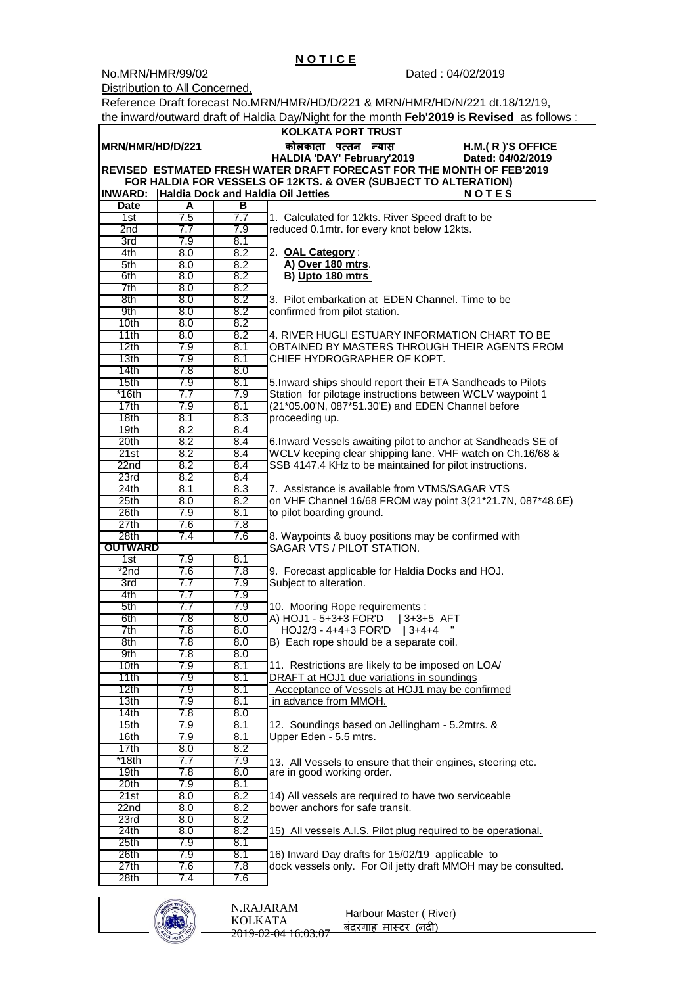Reference Draft forecast No.MRN/HMR/HD/D/221 & MRN/HMR/HD/N/221 dt.18/12/19, the inward/outward draft of Haldia Day/Night for the month **Feb'2019** is **Revised** as follows :

|                                                                                                                                                | KOLKATA PORT TRUST |            |                                                                              |  |  |  |  |  |
|------------------------------------------------------------------------------------------------------------------------------------------------|--------------------|------------|------------------------------------------------------------------------------|--|--|--|--|--|
| MRN/HMR/HD/D/221<br>कोलकाता पत्तन न्यास<br>$H.M.(R)'S$ OFFICE                                                                                  |                    |            |                                                                              |  |  |  |  |  |
| HALDIA 'DAY' February'2019<br>Dated: 04/02/2019                                                                                                |                    |            |                                                                              |  |  |  |  |  |
| REVISED ESTMATED FRESH WATER DRAFT FORECAST FOR THE MONTH OF FEB'2019                                                                          |                    |            |                                                                              |  |  |  |  |  |
| FOR HALDIA FOR VESSELS OF 12KTS. & OVER (SUBJECT TO ALTERATION)<br><b>INWARD:</b><br><b>Haldia Dock and Haldia Oil Jetties</b><br><b>NOTES</b> |                    |            |                                                                              |  |  |  |  |  |
| <b>Date</b>                                                                                                                                    | A                  | В          |                                                                              |  |  |  |  |  |
| 1st                                                                                                                                            | 7.5                | 7.7        | 1. Calculated for 12kts. River Speed draft to be                             |  |  |  |  |  |
| 2nd                                                                                                                                            | 7.7                | 7.9        | reduced 0.1mtr. for every knot below 12kts.                                  |  |  |  |  |  |
| 3rd                                                                                                                                            | 7.9                | 8.1        |                                                                              |  |  |  |  |  |
| 4th                                                                                                                                            | 8.0                | 8.2        | 2. OAL Category:                                                             |  |  |  |  |  |
| 5th                                                                                                                                            | 8.0                | 8.2        | A) Over 180 mtrs.                                                            |  |  |  |  |  |
| 6th                                                                                                                                            | 8.0                | 8.2        | B) Upto 180 mtrs                                                             |  |  |  |  |  |
| 7th                                                                                                                                            | 8.0                | 8.2        |                                                                              |  |  |  |  |  |
| 8th                                                                                                                                            | 8.0                | 8.2        | 3. Pilot embarkation at EDEN Channel. Time to be                             |  |  |  |  |  |
| 9th                                                                                                                                            | 8.0                | 8.2        | confirmed from pilot station.                                                |  |  |  |  |  |
| 10th                                                                                                                                           | 8.0                | 8.2        |                                                                              |  |  |  |  |  |
| 11th                                                                                                                                           | 8.0                | 8.2        | 4. RIVER HUGLI ESTUARY INFORMATION CHART TO BE                               |  |  |  |  |  |
| 12th<br>13th                                                                                                                                   | 7.9<br>7.9         | 8.1<br>8.1 | OBTAINED BY MASTERS THROUGH THEIR AGENTS FROM<br>CHIEF HYDROGRAPHER OF KOPT. |  |  |  |  |  |
| 14th                                                                                                                                           | 7.8                | 8.0        |                                                                              |  |  |  |  |  |
| 15 <sub>th</sub>                                                                                                                               | 7.9                | 8.1        | 5. Inward ships should report their ETA Sandheads to Pilots                  |  |  |  |  |  |
| $*16th$                                                                                                                                        | 7.7                | 7.9        | Station for pilotage instructions between WCLV waypoint 1                    |  |  |  |  |  |
| 17th                                                                                                                                           | 7.9                | 8.1        | (21*05.00'N, 087*51.30'E) and EDEN Channel before                            |  |  |  |  |  |
| 18th                                                                                                                                           | 8.1                | 8.3        | proceeding up.                                                               |  |  |  |  |  |
| 19th                                                                                                                                           | 8.2                | 8.4        |                                                                              |  |  |  |  |  |
| 20th                                                                                                                                           | 8.2                | 8.4        | 6. Inward Vessels awaiting pilot to anchor at Sandheads SE of                |  |  |  |  |  |
| 21st                                                                                                                                           | 8.2                | 8.4        | WCLV keeping clear shipping lane. VHF watch on Ch.16/68 &                    |  |  |  |  |  |
| 22 <sub>nd</sub>                                                                                                                               | 8.2                | 8.4        | SSB 4147.4 KHz to be maintained for pilot instructions.                      |  |  |  |  |  |
| 23rd                                                                                                                                           | 8.2                | 8.4        |                                                                              |  |  |  |  |  |
| 24th                                                                                                                                           | 8.1                | 8.3        | 7. Assistance is available from VTMS/SAGAR VTS                               |  |  |  |  |  |
| 25 <sub>th</sub>                                                                                                                               | 8.0                | 8.2        | on VHF Channel 16/68 FROM way point 3(21*21.7N, 087*48.6E)                   |  |  |  |  |  |
| 26th<br>27th                                                                                                                                   | 7.9<br>7.6         | 8.1<br>7.8 | to pilot boarding ground.                                                    |  |  |  |  |  |
| 28th                                                                                                                                           | 7.4                | 7.6        | 8. Waypoints & buoy positions may be confirmed with                          |  |  |  |  |  |
| <b>OUTWARD</b>                                                                                                                                 |                    |            | SAGAR VTS / PILOT STATION.                                                   |  |  |  |  |  |
| 1st                                                                                                                                            | 7.9                | 8.1        |                                                                              |  |  |  |  |  |
| *2nd                                                                                                                                           | 7.6                | 7.8        | 9. Forecast applicable for Haldia Docks and HOJ.                             |  |  |  |  |  |
| 3rd                                                                                                                                            | 7.7                | 7.9        | Subject to alteration.                                                       |  |  |  |  |  |
| 4th                                                                                                                                            | 7.7                | 7.9        |                                                                              |  |  |  |  |  |
| 5th                                                                                                                                            | 7.7                | 7.9        | 10. Mooring Rope requirements :                                              |  |  |  |  |  |
| 6th                                                                                                                                            | 7.8                | 8.0        | A) HOJ1 - 5+3+3 FOR'D<br>$ 3+3+5$ AFT                                        |  |  |  |  |  |
| 7th<br>8th                                                                                                                                     | 7.8<br>7.8         | 8.0<br>8.0 | HOJ2/3 - 4+4+3 FOR'D   3+4+4                                                 |  |  |  |  |  |
|                                                                                                                                                | 7.8                |            | B) Each rope should be a separate coil.                                      |  |  |  |  |  |
| 9th.<br>10 <sub>th</sub>                                                                                                                       | 7.9                | 8.U<br>8.1 | 11. Restrictions are likely to be imposed on LOA/                            |  |  |  |  |  |
| 11th                                                                                                                                           | 7.9                | 8.1        | DRAFT at HOJ1 due variations in soundings                                    |  |  |  |  |  |
| 12th                                                                                                                                           | 7.9                | 8.1        | Acceptance of Vessels at HOJ1 may be confirmed                               |  |  |  |  |  |
| 13 <sub>th</sub>                                                                                                                               | 7.9                | 8.1        | in advance from MMOH.                                                        |  |  |  |  |  |
| 14th                                                                                                                                           | 7.8                | 8.0        |                                                                              |  |  |  |  |  |
| 15 <sub>th</sub>                                                                                                                               | 7.9                | 8.1        | 12. Soundings based on Jellingham - 5.2mtrs. &                               |  |  |  |  |  |
| 16th                                                                                                                                           | 7.9                | 8.1        | Upper Eden - 5.5 mtrs.                                                       |  |  |  |  |  |
| 17th                                                                                                                                           | 8.0                | 8.2        |                                                                              |  |  |  |  |  |
| *18th                                                                                                                                          | 7.7                | 7.9        | 13. All Vessels to ensure that their engines, steering etc.                  |  |  |  |  |  |
| 19 <sub>th</sub>                                                                                                                               | 7.8                | 8.0        | are in good working order.                                                   |  |  |  |  |  |
| 20 <sub>th</sub><br>21st                                                                                                                       | 7.9<br>8.0         | 8.1<br>8.2 | 14) All vessels are required to have two serviceable                         |  |  |  |  |  |
| 22nd                                                                                                                                           | 8.0                | 8.2        | bower anchors for safe transit.                                              |  |  |  |  |  |
| 23rd                                                                                                                                           | 8.0                | 8.2        |                                                                              |  |  |  |  |  |
| 24th                                                                                                                                           | 8.0                | 8.2        | 15) All vessels A.I.S. Pilot plug required to be operational.                |  |  |  |  |  |
| 25th                                                                                                                                           | 7.9                | 8.1        |                                                                              |  |  |  |  |  |
| 26th                                                                                                                                           | 7.9                | 8.1        | 16) Inward Day drafts for 15/02/19 applicable to                             |  |  |  |  |  |
| 27th                                                                                                                                           | 7.6                | 7.8        | dock vessels only. For Oil jetty draft MMOH may be consulted.                |  |  |  |  |  |
| 28 <sub>th</sub>                                                                                                                               | 7.4                | 7.6        |                                                                              |  |  |  |  |  |



| N RAJARAM<br>KOLKATA<br>2010.02.0112.02.07 | Harbour Master (River)<br>बंदरगाह मास्टर (नदी) |
|--------------------------------------------|------------------------------------------------|
| 2019-02-04 10.05.07                        |                                                |